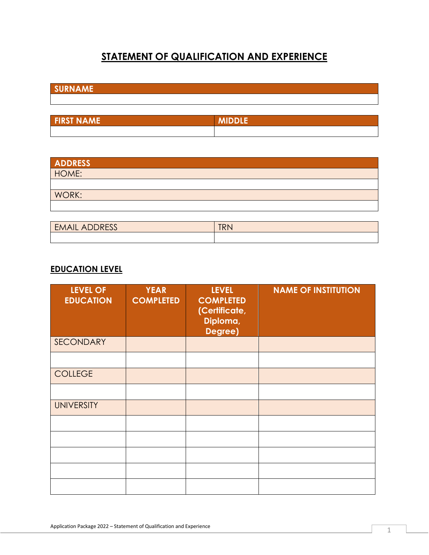# **STATEMENT OF QUALIFICATION AND EXPERIENCE**

**SURNAME** 

| <b>FIRST NAME</b> | <b>MINNIE</b><br>744 |
|-------------------|----------------------|
|                   |                      |

| ADDRESS |  |  |
|---------|--|--|
| HOME:   |  |  |
|         |  |  |
| WORK:   |  |  |
|         |  |  |

| $\sqrt{2}$<br>◟∟៱<br>E>F<br>$\triangleright$<br><b>LIVIL INDUITOR</b> | $T$ $\sim$ $\sim$<br>. |
|-----------------------------------------------------------------------|------------------------|
|                                                                       |                        |

### **EDUCATION LEVEL**

| <b>LEVEL OF</b><br><b>EDUCATION</b> | <b>YEAR</b><br><b>COMPLETED</b> | <b>LEVEL</b><br><b>COMPLETED</b><br>(Certificate,<br>Diploma,<br>Degree) | <b>NAME OF INSTITUTION</b> |
|-------------------------------------|---------------------------------|--------------------------------------------------------------------------|----------------------------|
| SECONDARY                           |                                 |                                                                          |                            |
|                                     |                                 |                                                                          |                            |
| <b>COLLEGE</b>                      |                                 |                                                                          |                            |
|                                     |                                 |                                                                          |                            |
| <b>UNIVERSITY</b>                   |                                 |                                                                          |                            |
|                                     |                                 |                                                                          |                            |
|                                     |                                 |                                                                          |                            |
|                                     |                                 |                                                                          |                            |
|                                     |                                 |                                                                          |                            |
|                                     |                                 |                                                                          |                            |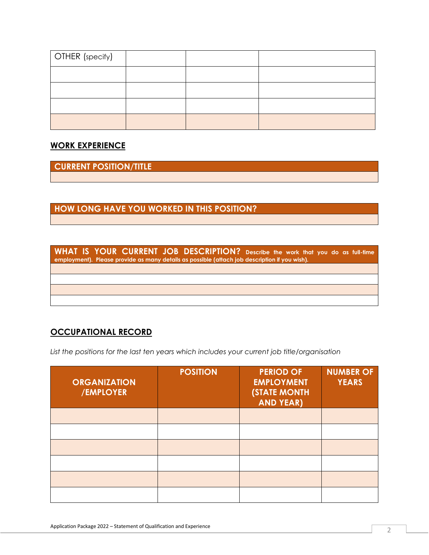| <b>OTHER</b> (specify) |  |  |
|------------------------|--|--|
|                        |  |  |
|                        |  |  |
|                        |  |  |
|                        |  |  |

### **WORK EXPERIENCE**

**CURRENT POSITION/TITLE** 

# **HOW LONG HAVE YOU WORKED IN THIS POSITION?**

**WHAT IS YOUR CURRENT JOB DESCRIPTION? Describe the work that you do as full-time employment). Please provide as many details as possible (attach job description if you wish).**

## **OCCUPATIONAL RECORD**

*List the positions for the last ten years which includes your current job title/organisation*

| <b>ORGANIZATION</b><br>/EMPLOYER | <b>POSITION</b> | <b>PERIOD OF</b><br><b>EMPLOYMENT</b><br><b>(STATE MONTH</b><br><b>AND YEAR)</b> | <b>NUMBER OF</b><br><b>YEARS</b> |
|----------------------------------|-----------------|----------------------------------------------------------------------------------|----------------------------------|
|                                  |                 |                                                                                  |                                  |
|                                  |                 |                                                                                  |                                  |
|                                  |                 |                                                                                  |                                  |
|                                  |                 |                                                                                  |                                  |
|                                  |                 |                                                                                  |                                  |
|                                  |                 |                                                                                  |                                  |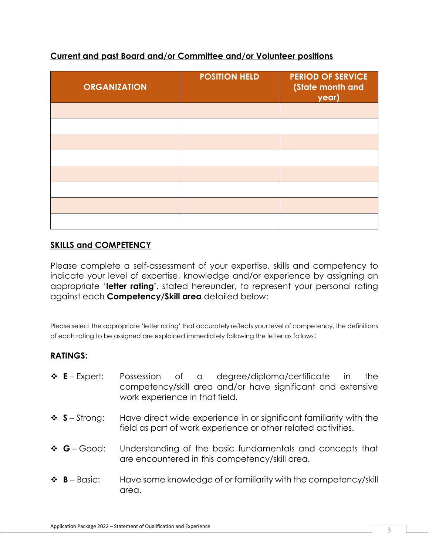| <b>ORGANIZATION</b> | <b>POSITION HELD</b> | <b>PERIOD OF SERVICE</b><br>(State month and<br>year) |
|---------------------|----------------------|-------------------------------------------------------|
|                     |                      |                                                       |
|                     |                      |                                                       |
|                     |                      |                                                       |
|                     |                      |                                                       |
|                     |                      |                                                       |
|                     |                      |                                                       |
|                     |                      |                                                       |
|                     |                      |                                                       |

## **Current and past Board and/or Committee and/or Volunteer positions**

## **SKILLS and COMPETENCY**

Please complete a self-assessment of your expertise, skills and competency to indicate your level of expertise, knowledge and/or experience by assigning an appropriate '**letter rating'**, stated hereunder, to represent your personal rating against each **Competency/Skill area** detailed below:

Please select the appropriate 'letter rating' that accurately reflects your level of competency, the definitions of each rating to be assigned are explained immediately following the letter as follows:

### **RATINGS:**

- ❖ **E**  Expert: Possession of a degree/diploma/certificate in the competency/skill area and/or have significant and extensive work experience in that field.
- ❖ **S** Strong: Have direct wide experience in or significant familiarity with the field as part of work experience or other related activities.
- ❖ **G**  Good: Understanding of the basic fundamentals and concepts that are encountered in this competency/skill area.
- ❖ **B**  Basic: Have some knowledge of or familiarity with the competency/skill area.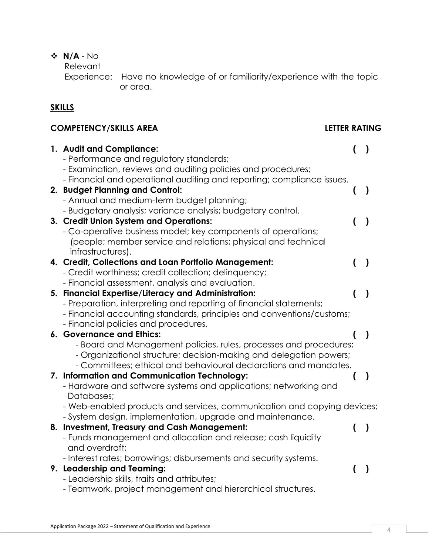# ❖ **N/A** - No

Relevant

 Experience: Have no knowledge of or familiarity/experience with the topic or area.

# **SKILLS**

# **COMPETENCY/SKILLS AREA LETTER RATING**

| 1. Audit and Compliance:                                                                                                  | $\overline{ }$   | $\mathcal{L}$ |
|---------------------------------------------------------------------------------------------------------------------------|------------------|---------------|
| - Performance and regulatory standards;                                                                                   |                  |               |
| - Examination, reviews and auditing policies and procedures;                                                              |                  |               |
| - Financial and operational auditing and reporting; compliance issues.                                                    |                  |               |
| 2. Budget Planning and Control:                                                                                           | $\overline{ }$   | $\lambda$     |
| - Annual and medium-term budget planning;                                                                                 |                  |               |
| - Budgetary analysis; variance analysis; budgetary control.                                                               |                  |               |
| 3. Credit Union System and Operations:                                                                                    |                  | $\mathcal{E}$ |
| - Co-operative business model; key components of operations;                                                              |                  |               |
| (people; member service and relations; physical and technical                                                             |                  |               |
| infrastructures).                                                                                                         |                  |               |
| 4. Credit, Collections and Loan Portfolio Management:                                                                     | $\overline{ }$   | $\lambda$     |
| - Credit worthiness; credit collection; delinquency;                                                                      |                  |               |
| - Financial assessment, analysis and evaluation.                                                                          |                  |               |
| 5. Financial Expertise/Literacy and Administration:<br>- Preparation, interpreting and reporting of financial statements; | $\overline{ }$   | $\mathcal{E}$ |
| - Financial accounting standards, principles and conventions/customs;                                                     |                  |               |
| - Financial policies and procedures.                                                                                      |                  |               |
| 6. Governance and Ethics:                                                                                                 |                  | $\lambda$     |
| - Board and Management policies, rules, processes and procedures;                                                         |                  |               |
| - Organizational structure; decision-making and delegation powers;                                                        |                  |               |
| - Committees; ethical and behavioural declarations and mandates.                                                          |                  |               |
| 7. Information and Communication Technology:                                                                              | (                | $\mathcal{E}$ |
| - Hardware and software systems and applications; networking and                                                          |                  |               |
| Databases;                                                                                                                |                  |               |
| - Web-enabled products and services, communication and copying devices;                                                   |                  |               |
| - System design, implementation, upgrade and maintenance.                                                                 |                  |               |
| 8. Investment, Treasury and Cash Management:                                                                              | $\overline{(}$   | $\mathcal{E}$ |
| - Funds management and allocation and release; cash liquidity                                                             |                  |               |
| and overdraft;                                                                                                            |                  |               |
| - Interest rates; borrowings; disbursements and security systems.                                                         |                  |               |
| 9. Leadership and Teaming:                                                                                                | $\overline{(\ }$ | $\mathcal{E}$ |
| - Leadership skills, traits and attributes;                                                                               |                  |               |
| - Teamwork, project management and hierarchical structures.                                                               |                  |               |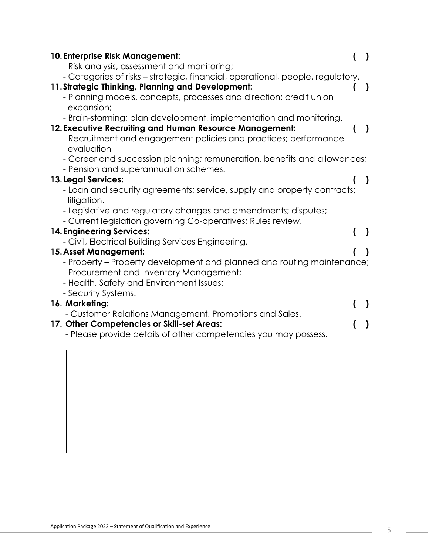| 10. Enterprise Risk Management:                                                        |           |
|----------------------------------------------------------------------------------------|-----------|
| - Risk analysis, assessment and monitoring;                                            |           |
| - Categories of risks - strategic, financial, operational, people, regulatory.         |           |
| 11. Strategic Thinking, Planning and Development:                                      |           |
| - Planning models, concepts, processes and direction; credit union<br>expansion;       |           |
| - Brain-storming; plan development, implementation and monitoring.                     |           |
| 12. Executive Recruiting and Human Resource Management:                                | $\lambda$ |
| - Recruitment and engagement policies and practices; performance                       |           |
| evaluation                                                                             |           |
| - Career and succession planning; remuneration, benefits and allowances;               |           |
| - Pension and superannuation schemes.                                                  |           |
| <b>13. Legal Services:</b>                                                             |           |
| - Loan and security agreements; service, supply and property contracts;<br>litigation. |           |
| - Legislative and regulatory changes and amendments; disputes;                         |           |
| - Current legislation governing Co-operatives; Rules review.                           |           |
| <b>14. Engineering Services:</b>                                                       | $\lambda$ |
| - Civil, Electrical Building Services Engineering.                                     |           |
| 15. Asset Management:                                                                  |           |
| - Property – Property development and planned and routing maintenance;                 |           |
| - Procurement and Inventory Management;                                                |           |
| - Health, Safety and Environment Issues;                                               |           |
| - Security Systems.                                                                    |           |
| 16. Marketing:                                                                         |           |
| - Customer Relations Management, Promotions and Sales.                                 |           |
| 17. Other Competencies or Skill-set Areas:                                             |           |
| - Please provide details of other competencies you may possess.                        |           |
|                                                                                        |           |